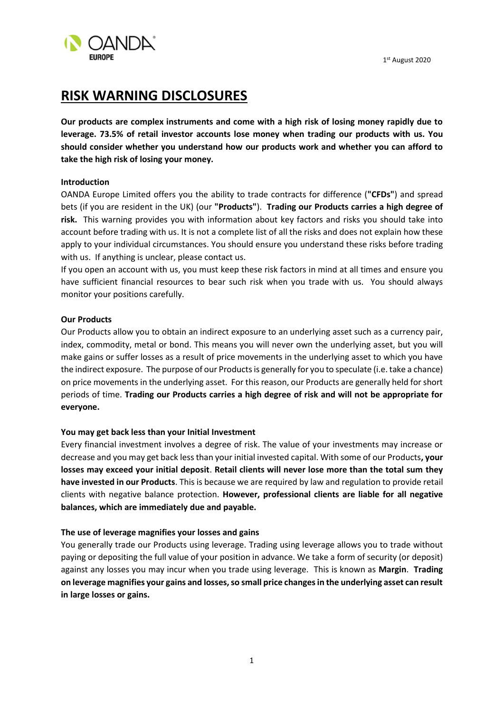1st August 2020



# **RISK WARNING DISCLOSURES**

**Our products are complex instruments and come with a high risk of losing money rapidly due to leverage. 73.5% of retail investor accounts lose money when trading our products with us. You should consider whether you understand how our products work and whether you can afford to take the high risk of losing your money.**

# **Introduction**

OANDA Europe Limited offers you the ability to trade contracts for difference (**"CFDs"**) and spread bets (if you are resident in the UK) (our **"Products"**). **Trading our Products carries a high degree of risk.** This warning provides you with information about key factors and risks you should take into account before trading with us. It is not a complete list of all the risks and does not explain how these apply to your individual circumstances. You should ensure you understand these risks before trading with us. If anything is unclear, pleas[e contact us.](https://www.oanda.com/resources/about/contact/)

If you open an account with us, you must keep these risk factors in mind at all times and ensure you have sufficient financial resources to bear such risk when you trade with us. You should always monitor your positions carefully.

# **Our Products**

Our Products allow you to obtain an indirect exposure to an underlying asset such as a currency pair, index, commodity, metal or bond. This means you will never own the underlying asset, but you will make gains or suffer losses as a result of price movements in the underlying asset to which you have the indirect exposure. The purpose of our Products is generally for you to speculate (i.e. take a chance) on price movements in the underlying asset. For this reason, our Products are generally held for short periods of time. **Trading our Products carries a high degree of risk and will not be appropriate for everyone.**

# **You may get back less than your Initial Investment**

Every financial investment involves a degree of risk. The value of your investments may increase or decrease and you may get back less than your initial invested capital. With some of our Products**, your losses may exceed your initial deposit**. **Retail clients will never lose more than the total sum they have invested in our Products**. This is because we are required by law and regulation to provide retail clients with negative balance protection. **However, professional clients are liable for all negative balances, which are immediately due and payable.**

# **The use of leverage magnifies your losses and gains**

You generally trade our Products using leverage. Trading using leverage allows you to trade without paying or depositing the full value of your position in advance. We take a form of security (or deposit) against any losses you may incur when you trade using leverage. This is known as **Margin**. **Trading on leverage magnifies your gains and losses, so small price changes in the underlying asset can result in large losses or gains.**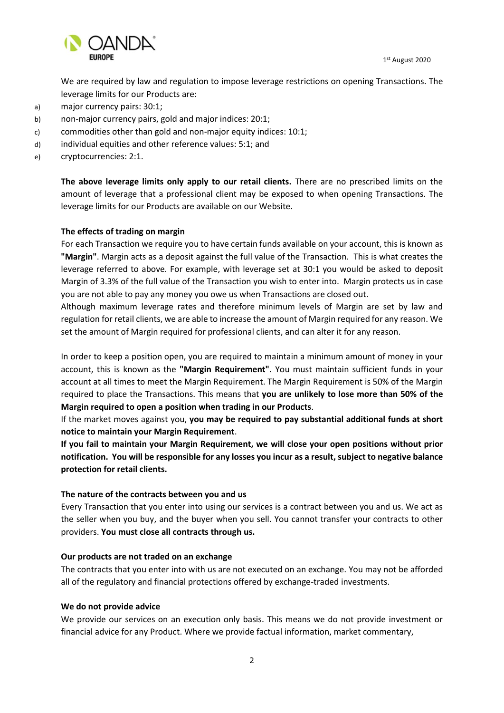1st August 2020



We are required by law and regulation to impose leverage restrictions on opening Transactions. The leverage limits for our Products are:

- a) major currency pairs: 30:1;
- b) non-major currency pairs, gold and major indices: 20:1;
- c) commodities other than gold and non-major equity indices: 10:1;
- d) individual equities and other reference values: 5:1; and
- e) cryptocurrencies: 2:1.

**The above leverage limits only apply to our retail clients.** There are no prescribed limits on the amount of leverage that a professional client may be exposed to when opening Transactions. The leverage limits for our Products are available on our Website.

#### **The effects of trading on margin**

For each Transaction we require you to have certain funds available on your account, this is known as **"Margin"**. Margin acts as a deposit against the full value of the Transaction. This is what creates the leverage referred to above. For example, with leverage set at 30:1 you would be asked to deposit Margin of 3.3% of the full value of the Transaction you wish to enter into. Margin protects us in case you are not able to pay any money you owe us when Transactions are closed out.

Although maximum leverage rates and therefore minimum levels of Margin are set by law and regulation for retail clients, we are able to increase the amount of Margin required for any reason. We set the amount of Margin required for professional clients, and can alter it for any reason.

In order to keep a position open, you are required to maintain a minimum amount of money in your account, this is known as the **"Margin Requirement"**. You must maintain sufficient funds in your account at all times to meet the Margin Requirement. The Margin Requirement is 50% of the Margin required to place the Transactions. This means that **you are unlikely to lose more than 50% of the Margin required to open a position when trading in our Products**.

If the market moves against you, **you may be required to pay substantial additional funds at short notice to maintain your Margin Requirement**.

**If you fail to maintain your Margin Requirement, we will close your open positions without prior notification. You will be responsible for any losses you incur as a result, subject to negative balance protection for retail clients.**

#### **The nature of the contracts between you and us**

Every Transaction that you enter into using our services is a contract between you and us. We act as the seller when you buy, and the buyer when you sell. You cannot transfer your contracts to other providers. **You must close all contracts through us.**

#### **Our products are not traded on an exchange**

The contracts that you enter into with us are not executed on an exchange. You may not be afforded all of the regulatory and financial protections offered by exchange-traded investments.

#### **We do not provide advice**

We provide our services on an execution only basis. This means we do not provide investment or financial advice for any Product. Where we provide factual information, market commentary,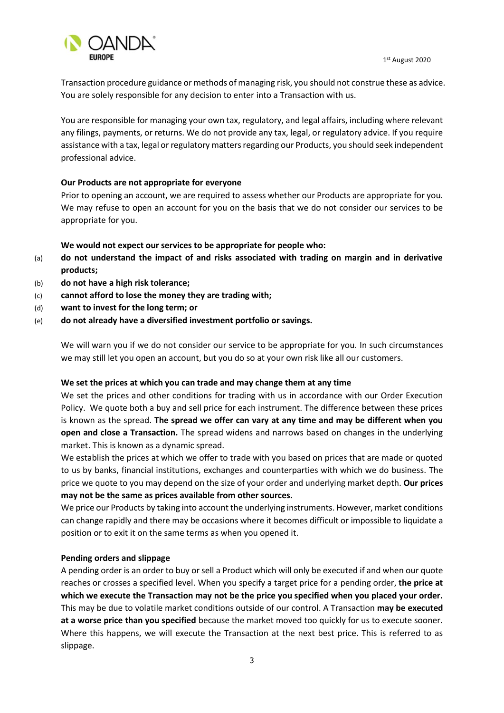

Transaction procedure guidance or methods of managing risk, you should not construe these as advice. You are solely responsible for any decision to enter into a Transaction with us.

You are responsible for managing your own tax, regulatory, and legal affairs, including where relevant any filings, payments, or returns. We do not provide any tax, legal, or regulatory advice. If you require assistance with a tax, legal or regulatory matters regarding our Products, you should seek independent professional advice.

# **Our Products are not appropriate for everyone**

Prior to opening an account, we are required to assess whether our Products are appropriate for you. We may refuse to open an account for you on the basis that we do not consider our services to be appropriate for you.

## **We would not expect our services to be appropriate for people who:**

- (a) **do not understand the impact of and risks associated with trading on margin and in derivative products;**
- (b) **do not have a high risk tolerance;**
- (c) **cannot afford to lose the money they are trading with;**
- (d) **want to invest for the long term; or**
- (e) **do not already have a diversified investment portfolio or savings.**

We will warn you if we do not consider our service to be appropriate for you. In such circumstances we may still let you open an account, but you do so at your own risk like all our customers.

#### **We set the prices at which you can trade and may change them at any time**

We set the prices and other conditions for trading with us in accordance with our Order Execution Policy. We quote both a buy and sell price for each instrument. The difference between these prices is known as the spread. **The spread we offer can vary at any time and may be different when you open and close a Transaction.** The spread widens and narrows based on changes in the underlying market. This is known as a dynamic spread.

We establish the prices at which we offer to trade with you based on prices that are made or quoted to us by banks, financial institutions, exchanges and counterparties with which we do business. The price we quote to you may depend on the size of your order and underlying market depth. **Our prices may not be the same as prices available from other sources.**

We price our Products by taking into account the underlying instruments. However, market conditions can change rapidly and there may be occasions where it becomes difficult or impossible to liquidate a position or to exit it on the same terms as when you opened it.

#### **Pending orders and slippage**

A pending order is an order to buy or sell a Product which will only be executed if and when our quote reaches or crosses a specified level. When you specify a target price for a pending order, **the price at which we execute the Transaction may not be the price you specified when you placed your order.** This may be due to volatile market conditions outside of our control. A Transaction **may be executed at a worse price than you specified** because the market moved too quickly for us to execute sooner. Where this happens, we will execute the Transaction at the next best price. This is referred to as slippage.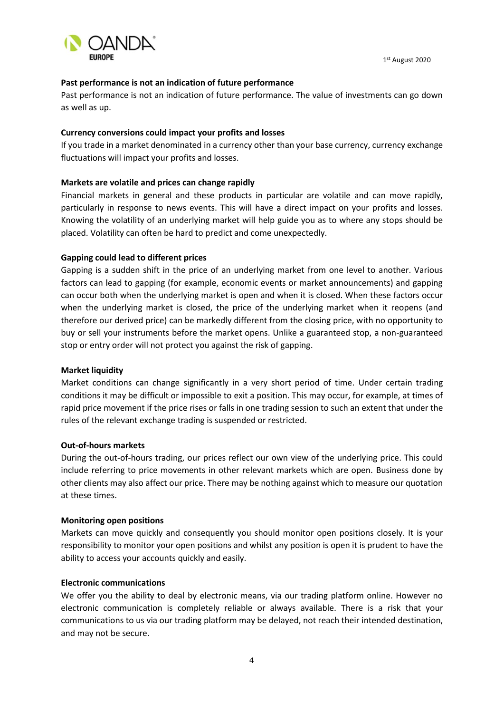

#### **Past performance is not an indication of future performance**

Past performance is not an indication of future performance. The value of investments can go down as well as up.

#### **Currency conversions could impact your profits and losses**

If you trade in a market denominated in a currency other than your base currency, currency exchange fluctuations will impact your profits and losses.

## **Markets are volatile and prices can change rapidly**

Financial markets in general and these products in particular are volatile and can move rapidly, particularly in response to news events. This will have a direct impact on your profits and losses. Knowing the volatility of an underlying market will help guide you as to where any stops should be placed. Volatility can often be hard to predict and come unexpectedly.

## **Gapping could lead to different prices**

Gapping is a sudden shift in the price of an underlying market from one level to another. Various factors can lead to gapping (for example, economic events or market announcements) and gapping can occur both when the underlying market is open and when it is closed. When these factors occur when the underlying market is closed, the price of the underlying market when it reopens (and therefore our derived price) can be markedly different from the closing price, with no opportunity to buy or sell your instruments before the market opens. Unlike a guaranteed stop, a non-guaranteed stop or entry order will not protect you against the risk of gapping.

# **Market liquidity**

Market conditions can change significantly in a very short period of time. Under certain trading conditions it may be difficult or impossible to exit a position. This may occur, for example, at times of rapid price movement if the price rises or falls in one trading session to such an extent that under the rules of the relevant exchange trading is suspended or restricted.

#### **Out-of-hours markets**

During the out-of-hours trading, our prices reflect our own view of the underlying price. This could include referring to price movements in other relevant markets which are open. Business done by other clients may also affect our price. There may be nothing against which to measure our quotation at these times.

#### **Monitoring open positions**

Markets can move quickly and consequently you should monitor open positions closely. It is your responsibility to monitor your open positions and whilst any position is open it is prudent to have the ability to access your accounts quickly and easily.

#### **Electronic communications**

We offer you the ability to deal by electronic means, via our trading platform online. However no electronic communication is completely reliable or always available. There is a risk that your communications to us via our trading platform may be delayed, not reach their intended destination, and may not be secure.